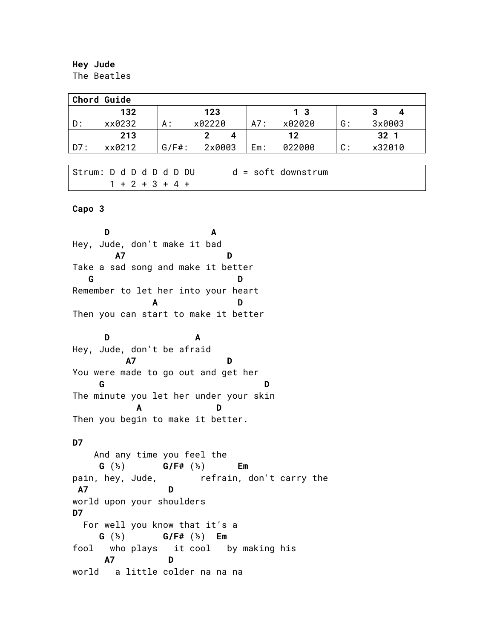## **Hey Jude** The Beatles

| <b>Chord Guide</b> |        |          |        |     |                |                |                 |  |
|--------------------|--------|----------|--------|-----|----------------|----------------|-----------------|--|
|                    | 132    |          | 123    |     | 1 <sub>3</sub> |                | 3<br>4          |  |
| D:                 | xx0232 | А:       | x02220 | A7: | x02020         | G:             | 3x0003          |  |
|                    | 213    |          | 4      |     | 12             |                | 32 <sub>1</sub> |  |
| D7 :               | xx0212 | $G/F#$ : | 2x0003 | Em: | 022000         | $\mathsf{C}$ : | x32010          |  |
|                    |        |          |        |     |                |                |                 |  |

| Strum: D d D d D d D DU |                   | $d = soft downstrum$ |
|-------------------------|-------------------|----------------------|
|                         | $1 + 2 + 3 + 4 +$ |                      |

## **Capo 3**

**D A** Hey, Jude, don't make it bad  **A7 D** Take a sad song and make it better **G** D Remember to let her into your heart  **A D** Then you can start to make it better  **D A** Hey, Jude, don't be afraid  **A7 D** You were made to go out and get her **G** D The minute you let her under your skin  **A D** Then you begin to make it better. **D7**  And any time you feel the  **G** (½) **G/F#** (½) **Em**  pain, hey, Jude, Fefrain, don't carry the **A7 D** world upon your shoulders **D7** For well you know that it's a  **G** (½) **G/F#** (½) **Em**  fool who plays it cool by making his  **A7 D** world a little colder na na na